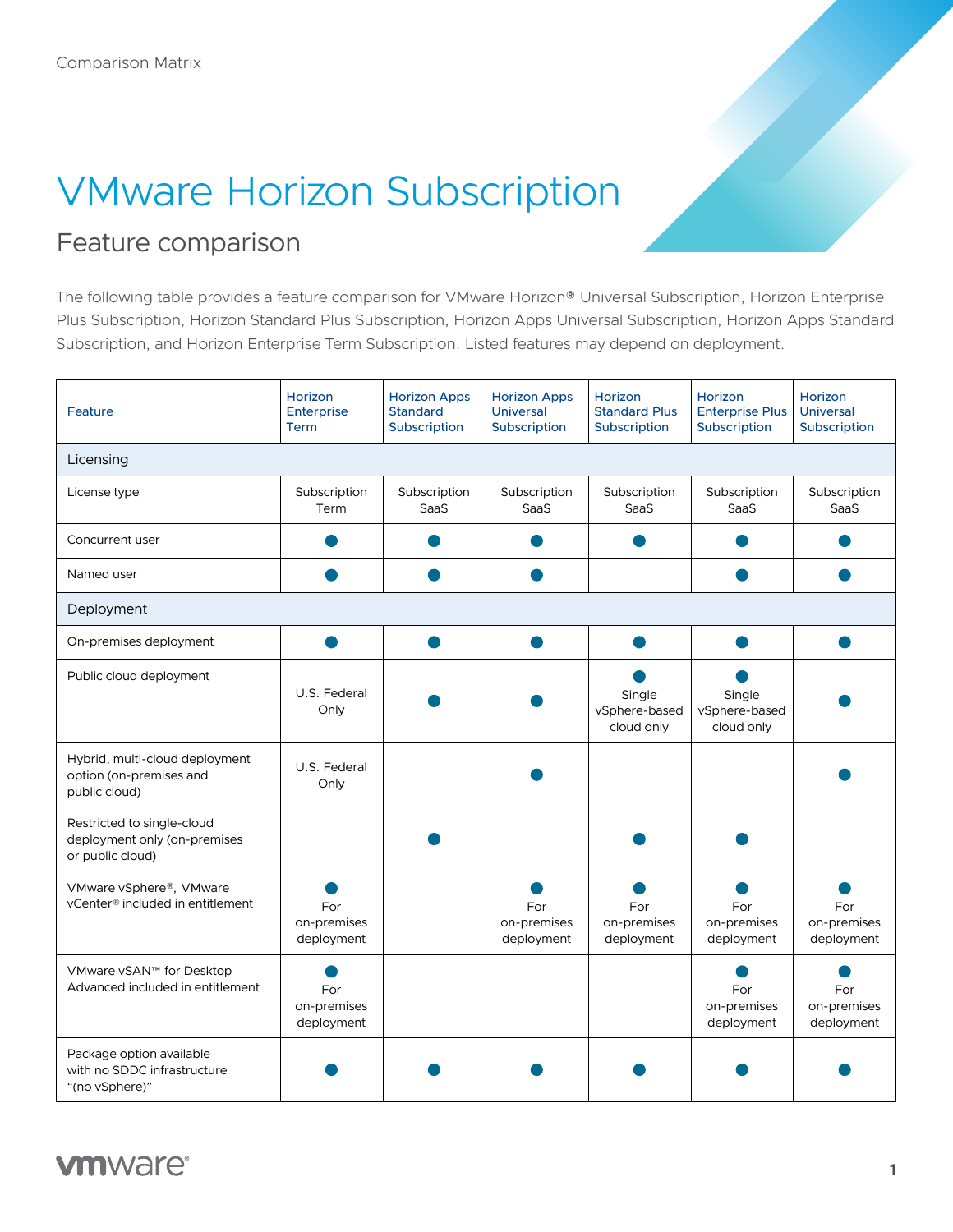## VMware Horizon Subscription

## Feature comparison

The following table provides a feature comparison for VMware Horizon® Universal Subscription, Horizon Enterprise Plus Subscription, Horizon Standard Plus Subscription, Horizon Apps Universal Subscription, Horizon Apps Standard Subscription, and Horizon Enterprise Term Subscription. Listed features may depend on deployment.

| Feature                                                                        | <b>Horizon</b><br><b>Enterprise</b><br><b>Term</b> | <b>Horizon Apps</b><br><b>Standard</b><br>Subscription | <b>Horizon Apps</b><br><b>Universal</b><br>Subscription | Horizon<br><b>Standard Plus</b><br>Subscription | Horizon<br><b>Enterprise Plus</b><br>Subscription | Horizon<br><b>Universal</b><br>Subscription |  |  |
|--------------------------------------------------------------------------------|----------------------------------------------------|--------------------------------------------------------|---------------------------------------------------------|-------------------------------------------------|---------------------------------------------------|---------------------------------------------|--|--|
| Licensing                                                                      |                                                    |                                                        |                                                         |                                                 |                                                   |                                             |  |  |
| License type                                                                   | Subscription<br>Term                               | Subscription<br>SaaS                                   | Subscription<br>SaaS                                    | Subscription<br>SaaS                            | Subscription<br>SaaS                              | Subscription<br>SaaS                        |  |  |
| Concurrent user                                                                |                                                    |                                                        |                                                         |                                                 |                                                   |                                             |  |  |
| Named user                                                                     |                                                    |                                                        |                                                         |                                                 |                                                   |                                             |  |  |
| Deployment                                                                     |                                                    |                                                        |                                                         |                                                 |                                                   |                                             |  |  |
| On-premises deployment                                                         |                                                    |                                                        |                                                         |                                                 |                                                   |                                             |  |  |
| Public cloud deployment                                                        | U.S. Federal<br>Only                               |                                                        |                                                         | Single<br>vSphere-based<br>cloud only           | Single<br>vSphere-based<br>cloud only             |                                             |  |  |
| Hybrid, multi-cloud deployment<br>option (on-premises and<br>public cloud)     | U.S. Federal<br>Only                               |                                                        |                                                         |                                                 |                                                   |                                             |  |  |
| Restricted to single-cloud<br>deployment only (on-premises<br>or public cloud) |                                                    |                                                        |                                                         |                                                 |                                                   |                                             |  |  |
| VMware vSphere®, VMware<br>vCenter® included in entitlement                    | For<br>on-premises<br>deployment                   |                                                        | For<br>on-premises<br>deployment                        | For<br>on-premises<br>deployment                | For<br>on-premises<br>deployment                  | For<br>on-premises<br>deployment            |  |  |
| VMware vSAN™ for Desktop<br>Advanced included in entitlement                   | For<br>on-premises<br>deployment                   |                                                        |                                                         |                                                 | For<br>on-premises<br>deployment                  | For<br>on-premises<br>deployment            |  |  |
| Package option available<br>with no SDDC infrastructure<br>"(no vSphere)"      |                                                    |                                                        |                                                         |                                                 |                                                   |                                             |  |  |

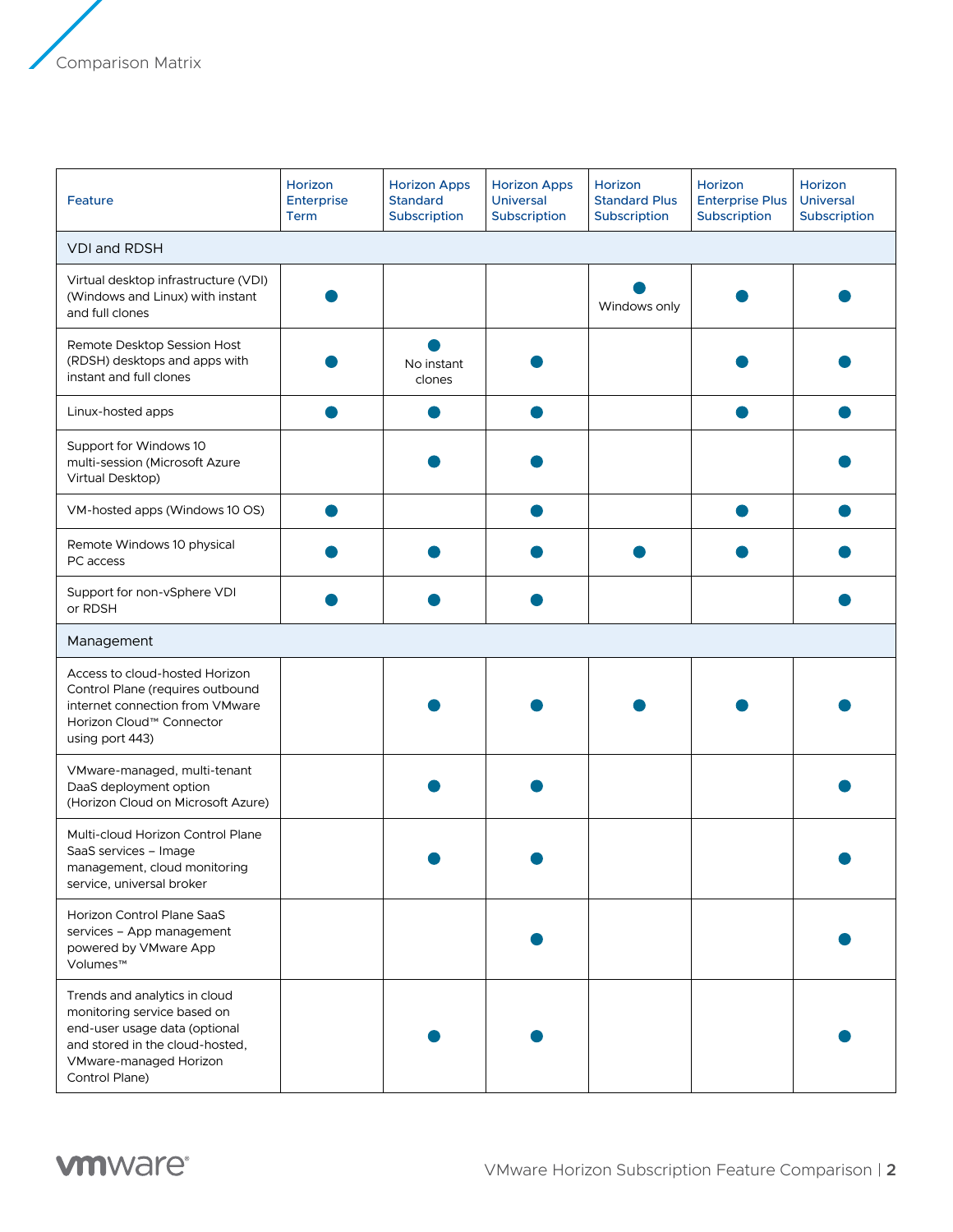| Feature                                                                                                                                                                      | Horizon<br>Enterprise<br><b>Term</b> | <b>Horizon Apps</b><br><b>Standard</b><br>Subscription | <b>Horizon Apps</b><br><b>Universal</b><br>Subscription | Horizon<br><b>Standard Plus</b><br>Subscription | Horizon<br><b>Enterprise Plus</b><br>Subscription | Horizon<br><b>Universal</b><br>Subscription |  |  |
|------------------------------------------------------------------------------------------------------------------------------------------------------------------------------|--------------------------------------|--------------------------------------------------------|---------------------------------------------------------|-------------------------------------------------|---------------------------------------------------|---------------------------------------------|--|--|
| <b>VDI and RDSH</b>                                                                                                                                                          |                                      |                                                        |                                                         |                                                 |                                                   |                                             |  |  |
| Virtual desktop infrastructure (VDI)<br>(Windows and Linux) with instant<br>and full clones                                                                                  |                                      |                                                        |                                                         | Windows only                                    |                                                   |                                             |  |  |
| Remote Desktop Session Host<br>(RDSH) desktops and apps with<br>instant and full clones                                                                                      |                                      | No instant<br>clones                                   |                                                         |                                                 |                                                   |                                             |  |  |
| Linux-hosted apps                                                                                                                                                            |                                      |                                                        |                                                         |                                                 |                                                   |                                             |  |  |
| Support for Windows 10<br>multi-session (Microsoft Azure<br>Virtual Desktop)                                                                                                 |                                      |                                                        |                                                         |                                                 |                                                   |                                             |  |  |
| VM-hosted apps (Windows 10 OS)                                                                                                                                               |                                      |                                                        |                                                         |                                                 |                                                   |                                             |  |  |
| Remote Windows 10 physical<br>PC access                                                                                                                                      |                                      |                                                        |                                                         |                                                 |                                                   |                                             |  |  |
| Support for non-vSphere VDI<br>or RDSH                                                                                                                                       |                                      |                                                        |                                                         |                                                 |                                                   |                                             |  |  |
| Management                                                                                                                                                                   |                                      |                                                        |                                                         |                                                 |                                                   |                                             |  |  |
| Access to cloud-hosted Horizon<br>Control Plane (requires outbound<br>internet connection from VMware<br>Horizon Cloud™ Connector<br>using port 443)                         |                                      |                                                        |                                                         |                                                 |                                                   |                                             |  |  |
| VMware-managed, multi-tenant<br>DaaS deployment option<br>(Horizon Cloud on Microsoft Azure)                                                                                 |                                      |                                                        |                                                         |                                                 |                                                   |                                             |  |  |
| Multi-cloud Horizon Control Plane<br>SaaS services - Image<br>management, cloud monitoring<br>service, universal broker                                                      |                                      |                                                        |                                                         |                                                 |                                                   |                                             |  |  |
| Horizon Control Plane SaaS<br>services - App management<br>powered by VMware App<br>Volumes™                                                                                 |                                      |                                                        |                                                         |                                                 |                                                   |                                             |  |  |
| Trends and analytics in cloud<br>monitoring service based on<br>end-user usage data (optional<br>and stored in the cloud-hosted,<br>VMware-managed Horizon<br>Control Plane) |                                      |                                                        |                                                         |                                                 |                                                   |                                             |  |  |

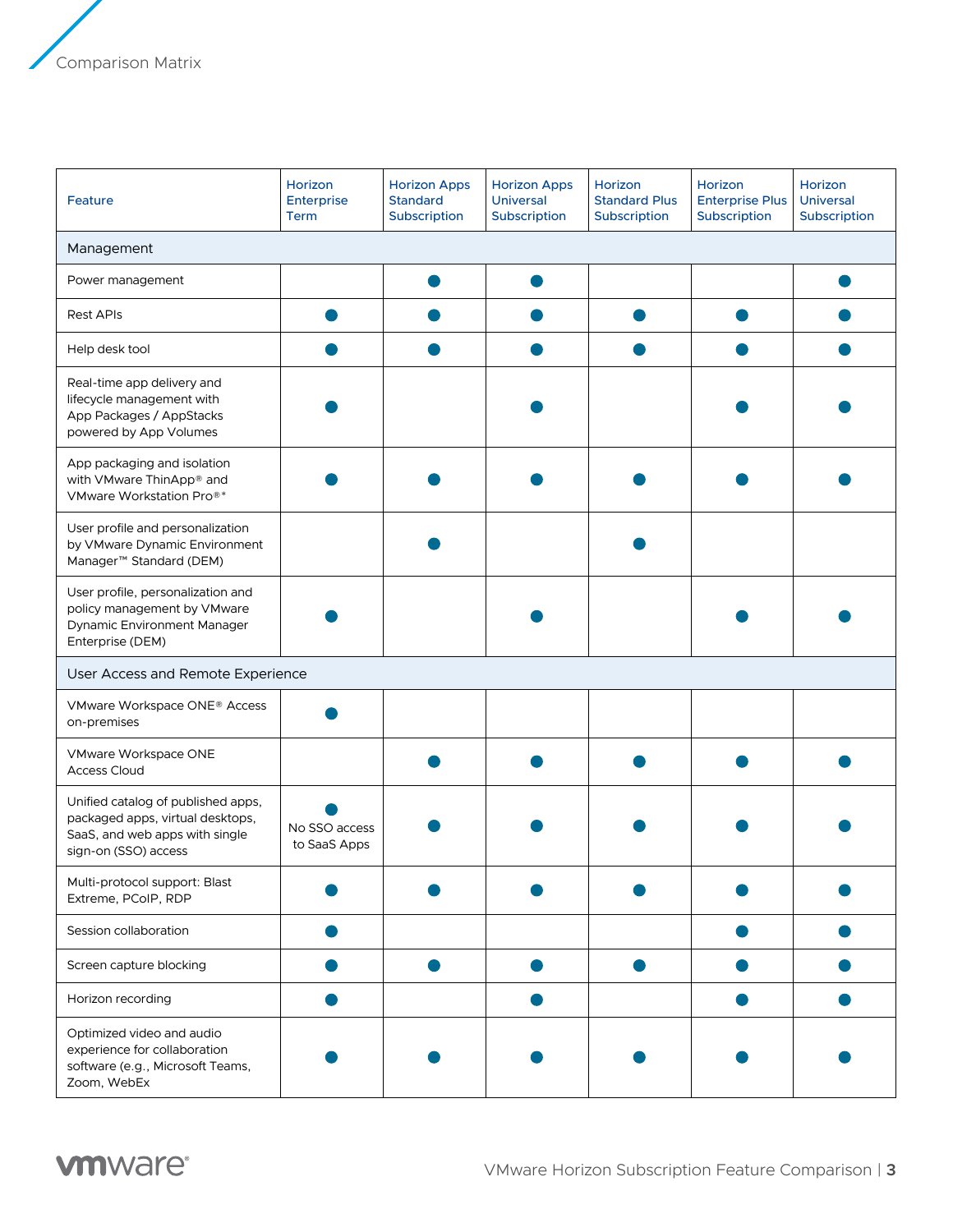| Feature                                                                                                                          | Horizon<br>Enterprise<br><b>Term</b> | <b>Horizon Apps</b><br><b>Standard</b><br>Subscription | <b>Horizon Apps</b><br><b>Universal</b><br>Subscription | Horizon<br><b>Standard Plus</b><br>Subscription | Horizon<br><b>Enterprise Plus</b><br>Subscription | Horizon<br>Universal<br>Subscription |  |  |
|----------------------------------------------------------------------------------------------------------------------------------|--------------------------------------|--------------------------------------------------------|---------------------------------------------------------|-------------------------------------------------|---------------------------------------------------|--------------------------------------|--|--|
| Management                                                                                                                       |                                      |                                                        |                                                         |                                                 |                                                   |                                      |  |  |
| Power management                                                                                                                 |                                      |                                                        |                                                         |                                                 |                                                   |                                      |  |  |
| <b>Rest APIs</b>                                                                                                                 |                                      |                                                        |                                                         |                                                 |                                                   |                                      |  |  |
| Help desk tool                                                                                                                   |                                      |                                                        |                                                         |                                                 |                                                   |                                      |  |  |
| Real-time app delivery and<br>lifecycle management with<br>App Packages / AppStacks<br>powered by App Volumes                    |                                      |                                                        |                                                         |                                                 |                                                   |                                      |  |  |
| App packaging and isolation<br>with VMware ThinApp® and<br>VMware Workstation Pro <sup>®*</sup>                                  |                                      |                                                        |                                                         |                                                 |                                                   |                                      |  |  |
| User profile and personalization<br>by VMware Dynamic Environment<br>Manager <sup>™</sup> Standard (DEM)                         |                                      |                                                        |                                                         |                                                 |                                                   |                                      |  |  |
| User profile, personalization and<br>policy management by VMware<br>Dynamic Environment Manager<br>Enterprise (DEM)              |                                      |                                                        |                                                         |                                                 |                                                   |                                      |  |  |
| User Access and Remote Experience                                                                                                |                                      |                                                        |                                                         |                                                 |                                                   |                                      |  |  |
| VMware Workspace ONE® Access<br>on-premises                                                                                      |                                      |                                                        |                                                         |                                                 |                                                   |                                      |  |  |
| VMware Workspace ONE<br><b>Access Cloud</b>                                                                                      |                                      |                                                        |                                                         |                                                 |                                                   |                                      |  |  |
| Unified catalog of published apps,<br>packaged apps, virtual desktops,<br>SaaS, and web apps with single<br>sign-on (SSO) access | No SSO access<br>to SaaS Apps        |                                                        |                                                         |                                                 |                                                   |                                      |  |  |
| Multi-protocol support: Blast<br>Extreme, PCoIP, RDP                                                                             |                                      |                                                        |                                                         |                                                 |                                                   |                                      |  |  |
| Session collaboration                                                                                                            |                                      |                                                        |                                                         |                                                 |                                                   |                                      |  |  |
| Screen capture blocking                                                                                                          |                                      |                                                        |                                                         |                                                 |                                                   |                                      |  |  |
| Horizon recording                                                                                                                |                                      |                                                        |                                                         |                                                 |                                                   |                                      |  |  |
| Optimized video and audio<br>experience for collaboration<br>software (e.g., Microsoft Teams,<br>Zoom, WebEx                     |                                      |                                                        |                                                         |                                                 |                                                   |                                      |  |  |